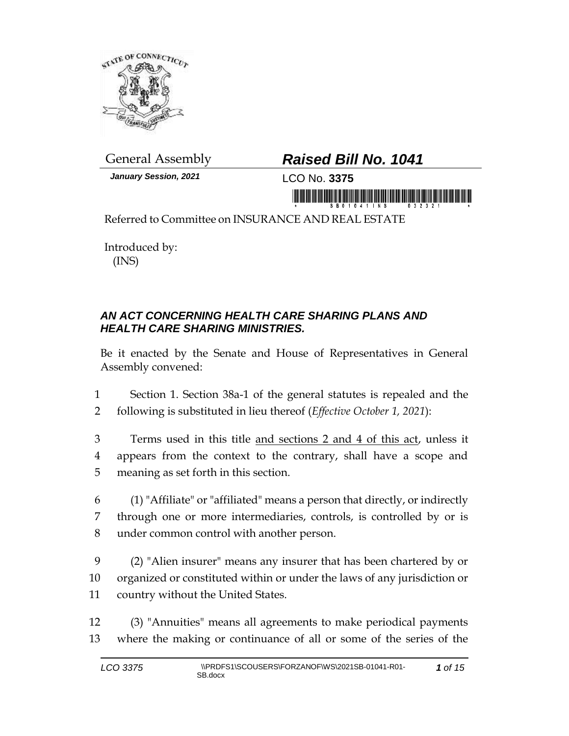

*January Session, 2021* LCO No. **3375**

## General Assembly *Raised Bill No. 1041*

in morning is a state of the state of the state of the state of the state of the state of the state of the state of the state of the state of the state of the state of the state of the state of the state of the state of th

Referred to Committee on INSURANCE AND REAL ESTATE

Introduced by: (INS)

## *AN ACT CONCERNING HEALTH CARE SHARING PLANS AND HEALTH CARE SHARING MINISTRIES.*

Be it enacted by the Senate and House of Representatives in General Assembly convened:

1 Section 1. Section 38a-1 of the general statutes is repealed and the 2 following is substituted in lieu thereof (*Effective October 1, 2021*):

3 Terms used in this title and sections 2 and 4 of this act, unless it 4 appears from the context to the contrary, shall have a scope and 5 meaning as set forth in this section.

6 (1) "Affiliate" or "affiliated" means a person that directly, or indirectly 7 through one or more intermediaries, controls, is controlled by or is 8 under common control with another person.

9 (2) "Alien insurer" means any insurer that has been chartered by or 10 organized or constituted within or under the laws of any jurisdiction or 11 country without the United States.

12 (3) "Annuities" means all agreements to make periodical payments 13 where the making or continuance of all or some of the series of the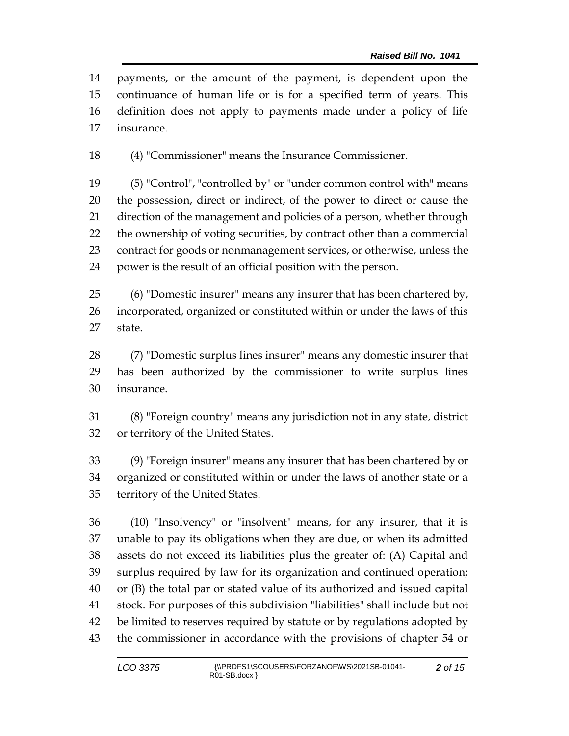payments, or the amount of the payment, is dependent upon the continuance of human life or is for a specified term of years. This definition does not apply to payments made under a policy of life insurance.

(4) "Commissioner" means the Insurance Commissioner.

 (5) "Control", "controlled by" or "under common control with" means the possession, direct or indirect, of the power to direct or cause the direction of the management and policies of a person, whether through the ownership of voting securities, by contract other than a commercial contract for goods or nonmanagement services, or otherwise, unless the power is the result of an official position with the person.

 (6) "Domestic insurer" means any insurer that has been chartered by, incorporated, organized or constituted within or under the laws of this state.

 (7) "Domestic surplus lines insurer" means any domestic insurer that has been authorized by the commissioner to write surplus lines insurance.

 (8) "Foreign country" means any jurisdiction not in any state, district or territory of the United States.

 (9) "Foreign insurer" means any insurer that has been chartered by or organized or constituted within or under the laws of another state or a territory of the United States.

 (10) "Insolvency" or "insolvent" means, for any insurer, that it is unable to pay its obligations when they are due, or when its admitted assets do not exceed its liabilities plus the greater of: (A) Capital and surplus required by law for its organization and continued operation; or (B) the total par or stated value of its authorized and issued capital stock. For purposes of this subdivision "liabilities" shall include but not be limited to reserves required by statute or by regulations adopted by the commissioner in accordance with the provisions of chapter 54 or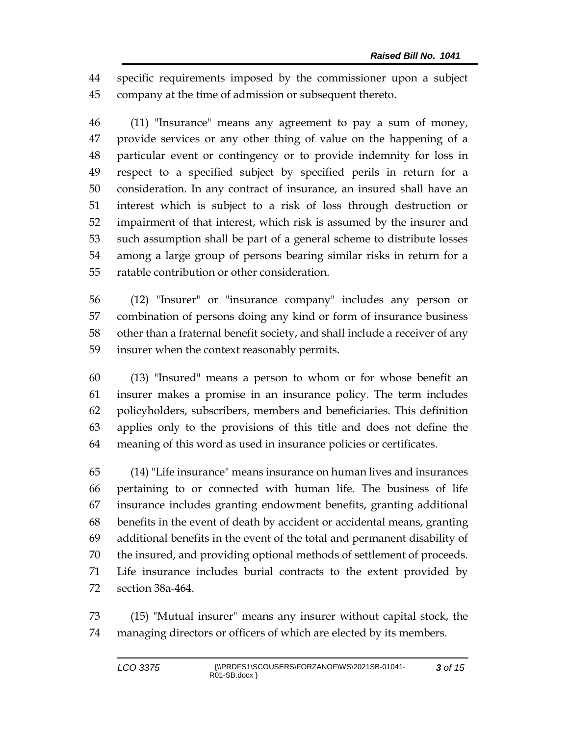specific requirements imposed by the commissioner upon a subject company at the time of admission or subsequent thereto.

 (11) "Insurance" means any agreement to pay a sum of money, provide services or any other thing of value on the happening of a particular event or contingency or to provide indemnity for loss in respect to a specified subject by specified perils in return for a consideration. In any contract of insurance, an insured shall have an interest which is subject to a risk of loss through destruction or impairment of that interest, which risk is assumed by the insurer and such assumption shall be part of a general scheme to distribute losses among a large group of persons bearing similar risks in return for a ratable contribution or other consideration.

 (12) "Insurer" or "insurance company" includes any person or combination of persons doing any kind or form of insurance business other than a fraternal benefit society, and shall include a receiver of any insurer when the context reasonably permits.

 (13) "Insured" means a person to whom or for whose benefit an insurer makes a promise in an insurance policy. The term includes policyholders, subscribers, members and beneficiaries. This definition applies only to the provisions of this title and does not define the meaning of this word as used in insurance policies or certificates.

 (14) "Life insurance" means insurance on human lives and insurances pertaining to or connected with human life. The business of life insurance includes granting endowment benefits, granting additional benefits in the event of death by accident or accidental means, granting additional benefits in the event of the total and permanent disability of the insured, and providing optional methods of settlement of proceeds. Life insurance includes burial contracts to the extent provided by section 38a-464.

 (15) "Mutual insurer" means any insurer without capital stock, the managing directors or officers of which are elected by its members.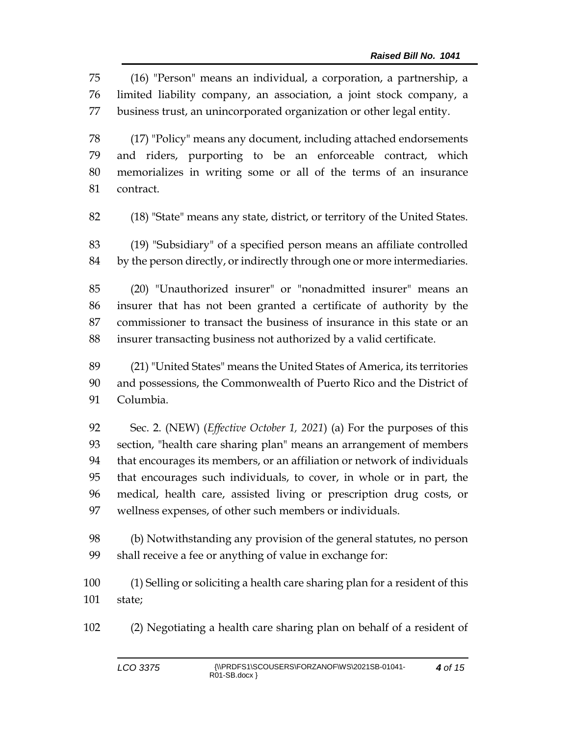(16) "Person" means an individual, a corporation, a partnership, a limited liability company, an association, a joint stock company, a business trust, an unincorporated organization or other legal entity.

 (17) "Policy" means any document, including attached endorsements and riders, purporting to be an enforceable contract, which memorializes in writing some or all of the terms of an insurance contract.

(18) "State" means any state, district, or territory of the United States.

 (19) "Subsidiary" of a specified person means an affiliate controlled by the person directly, or indirectly through one or more intermediaries.

 (20) "Unauthorized insurer" or "nonadmitted insurer" means an insurer that has not been granted a certificate of authority by the commissioner to transact the business of insurance in this state or an insurer transacting business not authorized by a valid certificate.

 (21) "United States" means the United States of America, its territories and possessions, the Commonwealth of Puerto Rico and the District of Columbia.

 Sec. 2. (NEW) (*Effective October 1, 2021*) (a) For the purposes of this section, "health care sharing plan" means an arrangement of members that encourages its members, or an affiliation or network of individuals that encourages such individuals, to cover, in whole or in part, the medical, health care, assisted living or prescription drug costs, or wellness expenses, of other such members or individuals.

 (b) Notwithstanding any provision of the general statutes, no person shall receive a fee or anything of value in exchange for:

 (1) Selling or soliciting a health care sharing plan for a resident of this state;

(2) Negotiating a health care sharing plan on behalf of a resident of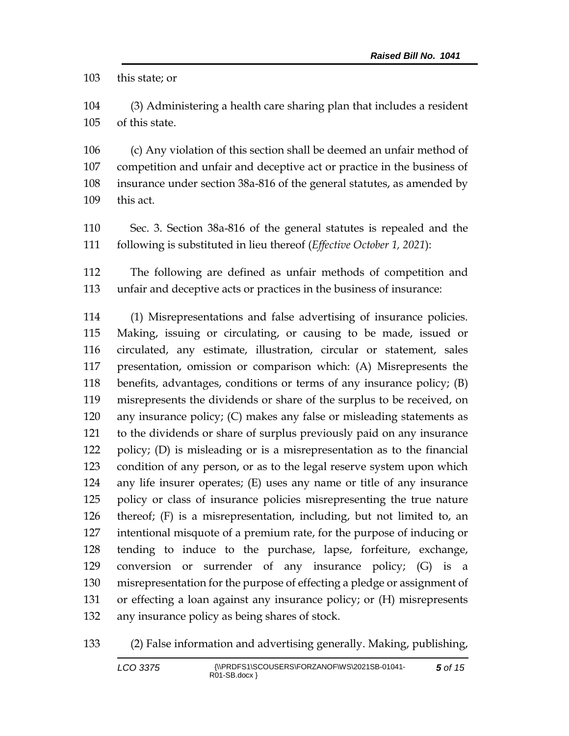this state; or

 (3) Administering a health care sharing plan that includes a resident of this state.

 (c) Any violation of this section shall be deemed an unfair method of competition and unfair and deceptive act or practice in the business of insurance under section 38a-816 of the general statutes, as amended by this act.

 Sec. 3. Section 38a-816 of the general statutes is repealed and the following is substituted in lieu thereof (*Effective October 1, 2021*):

 The following are defined as unfair methods of competition and unfair and deceptive acts or practices in the business of insurance:

 (1) Misrepresentations and false advertising of insurance policies. Making, issuing or circulating, or causing to be made, issued or circulated, any estimate, illustration, circular or statement, sales presentation, omission or comparison which: (A) Misrepresents the benefits, advantages, conditions or terms of any insurance policy; (B) misrepresents the dividends or share of the surplus to be received, on any insurance policy; (C) makes any false or misleading statements as to the dividends or share of surplus previously paid on any insurance policy; (D) is misleading or is a misrepresentation as to the financial condition of any person, or as to the legal reserve system upon which any life insurer operates; (E) uses any name or title of any insurance policy or class of insurance policies misrepresenting the true nature thereof; (F) is a misrepresentation, including, but not limited to, an intentional misquote of a premium rate, for the purpose of inducing or tending to induce to the purchase, lapse, forfeiture, exchange, conversion or surrender of any insurance policy; (G) is a misrepresentation for the purpose of effecting a pledge or assignment of or effecting a loan against any insurance policy; or (H) misrepresents any insurance policy as being shares of stock.

(2) False information and advertising generally. Making, publishing,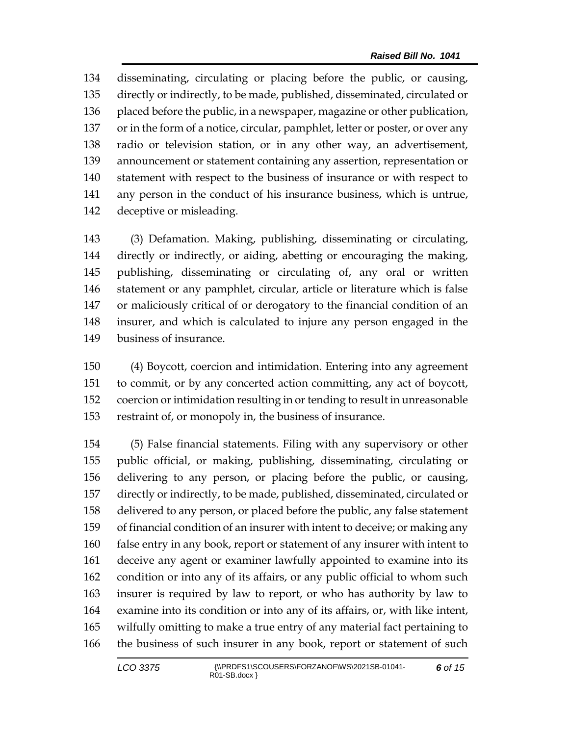disseminating, circulating or placing before the public, or causing, directly or indirectly, to be made, published, disseminated, circulated or 136 placed before the public, in a newspaper, magazine or other publication, or in the form of a notice, circular, pamphlet, letter or poster, or over any radio or television station, or in any other way, an advertisement, announcement or statement containing any assertion, representation or statement with respect to the business of insurance or with respect to any person in the conduct of his insurance business, which is untrue, deceptive or misleading.

 (3) Defamation. Making, publishing, disseminating or circulating, directly or indirectly, or aiding, abetting or encouraging the making, publishing, disseminating or circulating of, any oral or written statement or any pamphlet, circular, article or literature which is false or maliciously critical of or derogatory to the financial condition of an insurer, and which is calculated to injure any person engaged in the business of insurance.

 (4) Boycott, coercion and intimidation. Entering into any agreement to commit, or by any concerted action committing, any act of boycott, coercion or intimidation resulting in or tending to result in unreasonable restraint of, or monopoly in, the business of insurance.

 (5) False financial statements. Filing with any supervisory or other public official, or making, publishing, disseminating, circulating or delivering to any person, or placing before the public, or causing, directly or indirectly, to be made, published, disseminated, circulated or delivered to any person, or placed before the public, any false statement of financial condition of an insurer with intent to deceive; or making any false entry in any book, report or statement of any insurer with intent to deceive any agent or examiner lawfully appointed to examine into its condition or into any of its affairs, or any public official to whom such insurer is required by law to report, or who has authority by law to examine into its condition or into any of its affairs, or, with like intent, wilfully omitting to make a true entry of any material fact pertaining to the business of such insurer in any book, report or statement of such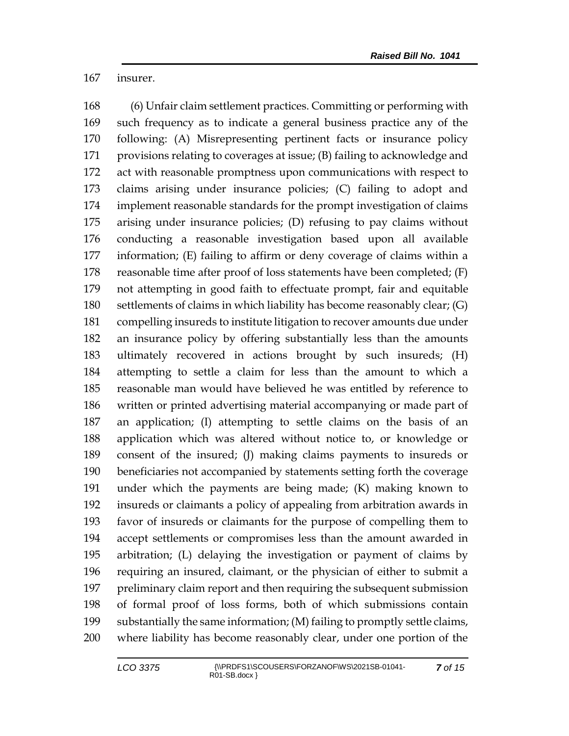insurer.

 (6) Unfair claim settlement practices. Committing or performing with such frequency as to indicate a general business practice any of the following: (A) Misrepresenting pertinent facts or insurance policy provisions relating to coverages at issue; (B) failing to acknowledge and act with reasonable promptness upon communications with respect to claims arising under insurance policies; (C) failing to adopt and implement reasonable standards for the prompt investigation of claims arising under insurance policies; (D) refusing to pay claims without conducting a reasonable investigation based upon all available information; (E) failing to affirm or deny coverage of claims within a reasonable time after proof of loss statements have been completed; (F) not attempting in good faith to effectuate prompt, fair and equitable settlements of claims in which liability has become reasonably clear; (G) compelling insureds to institute litigation to recover amounts due under an insurance policy by offering substantially less than the amounts ultimately recovered in actions brought by such insureds; (H) attempting to settle a claim for less than the amount to which a reasonable man would have believed he was entitled by reference to written or printed advertising material accompanying or made part of an application; (I) attempting to settle claims on the basis of an application which was altered without notice to, or knowledge or consent of the insured; (J) making claims payments to insureds or beneficiaries not accompanied by statements setting forth the coverage under which the payments are being made; (K) making known to insureds or claimants a policy of appealing from arbitration awards in favor of insureds or claimants for the purpose of compelling them to accept settlements or compromises less than the amount awarded in arbitration; (L) delaying the investigation or payment of claims by requiring an insured, claimant, or the physician of either to submit a preliminary claim report and then requiring the subsequent submission of formal proof of loss forms, both of which submissions contain substantially the same information; (M) failing to promptly settle claims, where liability has become reasonably clear, under one portion of the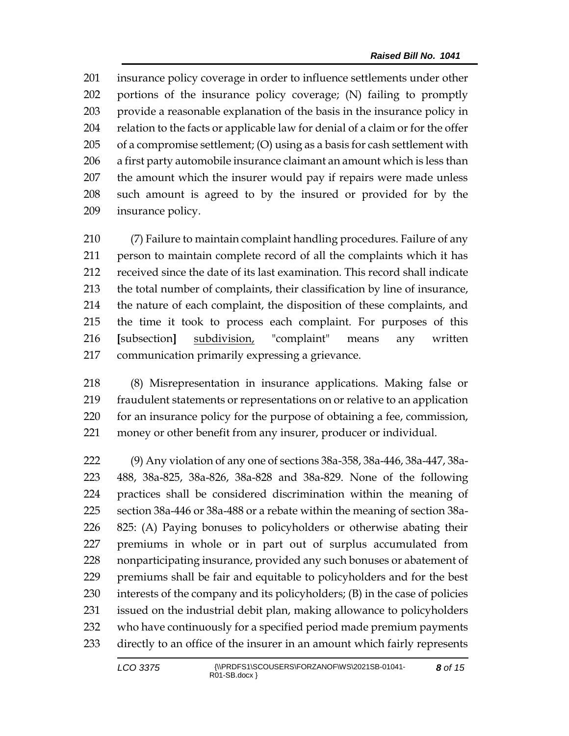insurance policy coverage in order to influence settlements under other portions of the insurance policy coverage; (N) failing to promptly provide a reasonable explanation of the basis in the insurance policy in relation to the facts or applicable law for denial of a claim or for the offer of a compromise settlement; (O) using as a basis for cash settlement with a first party automobile insurance claimant an amount which is less than the amount which the insurer would pay if repairs were made unless such amount is agreed to by the insured or provided for by the insurance policy.

 (7) Failure to maintain complaint handling procedures. Failure of any person to maintain complete record of all the complaints which it has received since the date of its last examination. This record shall indicate the total number of complaints, their classification by line of insurance, the nature of each complaint, the disposition of these complaints, and the time it took to process each complaint. For purposes of this **[**subsection**]** subdivision, "complaint" means any written communication primarily expressing a grievance.

 (8) Misrepresentation in insurance applications. Making false or fraudulent statements or representations on or relative to an application for an insurance policy for the purpose of obtaining a fee, commission, money or other benefit from any insurer, producer or individual.

 (9) Any violation of any one of sections 38a-358, 38a-446, 38a-447, 38a- 488, 38a-825, 38a-826, 38a-828 and 38a-829. None of the following practices shall be considered discrimination within the meaning of section 38a-446 or 38a-488 or a rebate within the meaning of section 38a- 825: (A) Paying bonuses to policyholders or otherwise abating their premiums in whole or in part out of surplus accumulated from nonparticipating insurance, provided any such bonuses or abatement of premiums shall be fair and equitable to policyholders and for the best interests of the company and its policyholders; (B) in the case of policies issued on the industrial debit plan, making allowance to policyholders who have continuously for a specified period made premium payments directly to an office of the insurer in an amount which fairly represents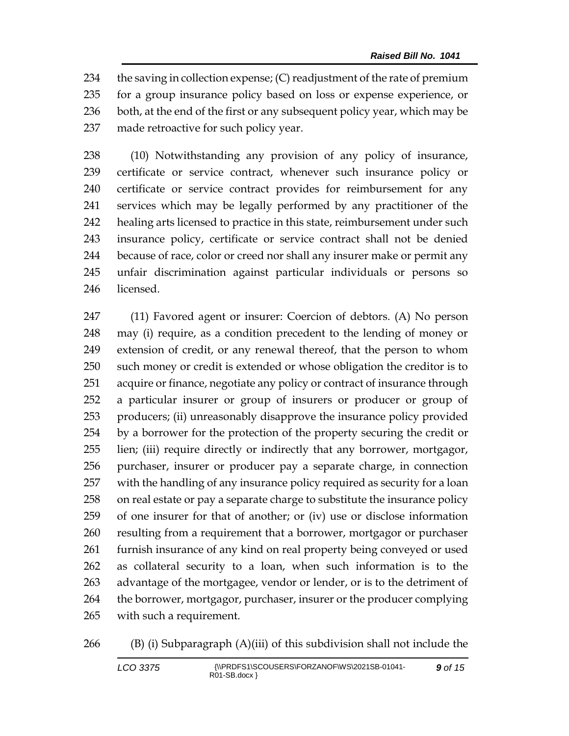$\cdot$  the saving in collection expense; (C) readjustment of the rate of premium for a group insurance policy based on loss or expense experience, or 236 both, at the end of the first or any subsequent policy year, which may be made retroactive for such policy year.

 (10) Notwithstanding any provision of any policy of insurance, certificate or service contract, whenever such insurance policy or certificate or service contract provides for reimbursement for any services which may be legally performed by any practitioner of the healing arts licensed to practice in this state, reimbursement under such insurance policy, certificate or service contract shall not be denied because of race, color or creed nor shall any insurer make or permit any unfair discrimination against particular individuals or persons so licensed.

 (11) Favored agent or insurer: Coercion of debtors. (A) No person may (i) require, as a condition precedent to the lending of money or extension of credit, or any renewal thereof, that the person to whom such money or credit is extended or whose obligation the creditor is to acquire or finance, negotiate any policy or contract of insurance through a particular insurer or group of insurers or producer or group of producers; (ii) unreasonably disapprove the insurance policy provided by a borrower for the protection of the property securing the credit or lien; (iii) require directly or indirectly that any borrower, mortgagor, purchaser, insurer or producer pay a separate charge, in connection with the handling of any insurance policy required as security for a loan on real estate or pay a separate charge to substitute the insurance policy of one insurer for that of another; or (iv) use or disclose information resulting from a requirement that a borrower, mortgagor or purchaser furnish insurance of any kind on real property being conveyed or used as collateral security to a loan, when such information is to the advantage of the mortgagee, vendor or lender, or is to the detriment of 264 the borrower, mortgagor, purchaser, insurer or the producer complying with such a requirement.

```
266 (B) (i) Subparagraph (A)(iii) of this subdivision shall not include the
```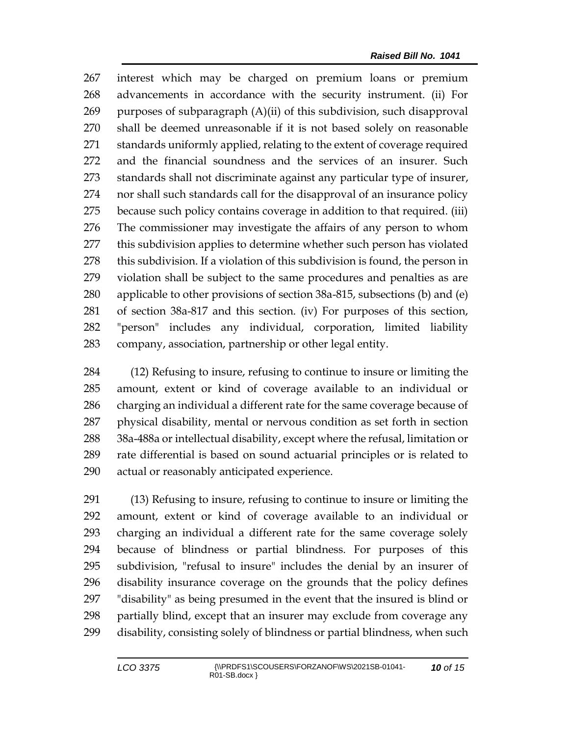interest which may be charged on premium loans or premium advancements in accordance with the security instrument. (ii) For purposes of subparagraph (A)(ii) of this subdivision, such disapproval shall be deemed unreasonable if it is not based solely on reasonable standards uniformly applied, relating to the extent of coverage required and the financial soundness and the services of an insurer. Such standards shall not discriminate against any particular type of insurer, nor shall such standards call for the disapproval of an insurance policy because such policy contains coverage in addition to that required. (iii) The commissioner may investigate the affairs of any person to whom this subdivision applies to determine whether such person has violated this subdivision. If a violation of this subdivision is found, the person in violation shall be subject to the same procedures and penalties as are applicable to other provisions of section 38a-815, subsections (b) and (e) of section 38a-817 and this section. (iv) For purposes of this section, "person" includes any individual, corporation, limited liability company, association, partnership or other legal entity.

 (12) Refusing to insure, refusing to continue to insure or limiting the amount, extent or kind of coverage available to an individual or charging an individual a different rate for the same coverage because of physical disability, mental or nervous condition as set forth in section 38a-488a or intellectual disability, except where the refusal, limitation or rate differential is based on sound actuarial principles or is related to actual or reasonably anticipated experience.

 (13) Refusing to insure, refusing to continue to insure or limiting the amount, extent or kind of coverage available to an individual or charging an individual a different rate for the same coverage solely because of blindness or partial blindness. For purposes of this subdivision, "refusal to insure" includes the denial by an insurer of disability insurance coverage on the grounds that the policy defines "disability" as being presumed in the event that the insured is blind or partially blind, except that an insurer may exclude from coverage any disability, consisting solely of blindness or partial blindness, when such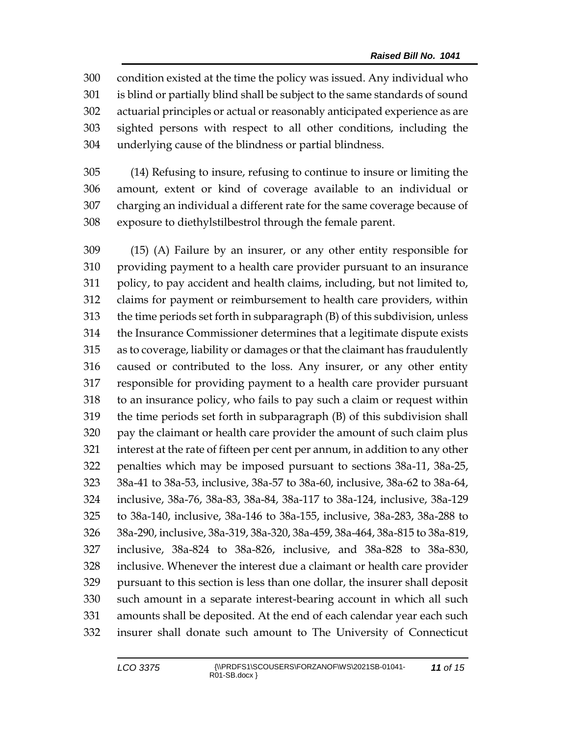condition existed at the time the policy was issued. Any individual who is blind or partially blind shall be subject to the same standards of sound actuarial principles or actual or reasonably anticipated experience as are sighted persons with respect to all other conditions, including the underlying cause of the blindness or partial blindness.

 (14) Refusing to insure, refusing to continue to insure or limiting the amount, extent or kind of coverage available to an individual or charging an individual a different rate for the same coverage because of exposure to diethylstilbestrol through the female parent.

 (15) (A) Failure by an insurer, or any other entity responsible for providing payment to a health care provider pursuant to an insurance policy, to pay accident and health claims, including, but not limited to, claims for payment or reimbursement to health care providers, within the time periods set forth in subparagraph (B) of this subdivision, unless the Insurance Commissioner determines that a legitimate dispute exists as to coverage, liability or damages or that the claimant has fraudulently caused or contributed to the loss. Any insurer, or any other entity responsible for providing payment to a health care provider pursuant to an insurance policy, who fails to pay such a claim or request within the time periods set forth in subparagraph (B) of this subdivision shall pay the claimant or health care provider the amount of such claim plus interest at the rate of fifteen per cent per annum, in addition to any other penalties which may be imposed pursuant to sections 38a-11, 38a-25, 38a-41 to 38a-53, inclusive, 38a-57 to 38a-60, inclusive, 38a-62 to 38a-64, inclusive, 38a-76, 38a-83, 38a-84, 38a-117 to 38a-124, inclusive, 38a-129 to 38a-140, inclusive, 38a-146 to 38a-155, inclusive, 38a-283, 38a-288 to 38a-290, inclusive, 38a-319, 38a-320, 38a-459, 38a-464, 38a-815 to 38a-819, inclusive, 38a-824 to 38a-826, inclusive, and 38a-828 to 38a-830, inclusive. Whenever the interest due a claimant or health care provider pursuant to this section is less than one dollar, the insurer shall deposit such amount in a separate interest-bearing account in which all such amounts shall be deposited. At the end of each calendar year each such insurer shall donate such amount to The University of Connecticut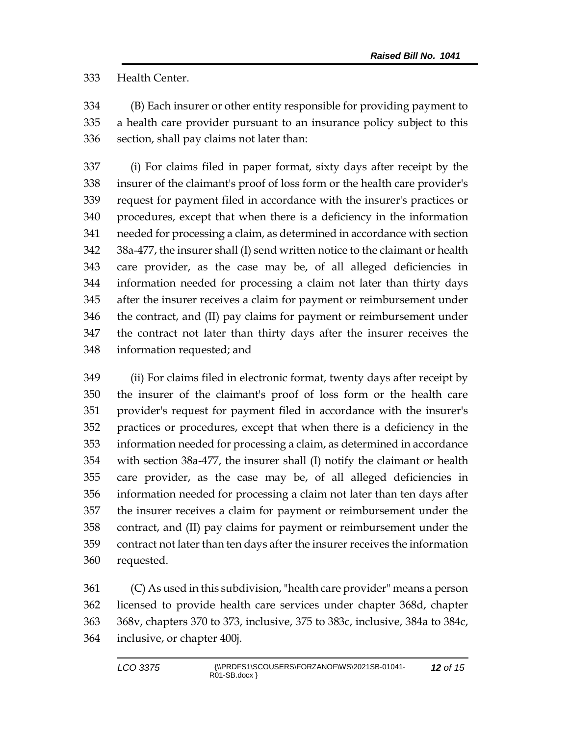Health Center.

 (B) Each insurer or other entity responsible for providing payment to a health care provider pursuant to an insurance policy subject to this section, shall pay claims not later than:

 (i) For claims filed in paper format, sixty days after receipt by the insurer of the claimant's proof of loss form or the health care provider's request for payment filed in accordance with the insurer's practices or procedures, except that when there is a deficiency in the information needed for processing a claim, as determined in accordance with section 38a-477, the insurer shall (I) send written notice to the claimant or health care provider, as the case may be, of all alleged deficiencies in information needed for processing a claim not later than thirty days after the insurer receives a claim for payment or reimbursement under the contract, and (II) pay claims for payment or reimbursement under the contract not later than thirty days after the insurer receives the information requested; and

 (ii) For claims filed in electronic format, twenty days after receipt by the insurer of the claimant's proof of loss form or the health care provider's request for payment filed in accordance with the insurer's practices or procedures, except that when there is a deficiency in the information needed for processing a claim, as determined in accordance with section 38a-477, the insurer shall (I) notify the claimant or health care provider, as the case may be, of all alleged deficiencies in information needed for processing a claim not later than ten days after the insurer receives a claim for payment or reimbursement under the contract, and (II) pay claims for payment or reimbursement under the contract not later than ten days after the insurer receives the information requested.

 (C) As used in this subdivision, "health care provider" means a person licensed to provide health care services under chapter 368d, chapter 368v, chapters 370 to 373, inclusive, 375 to 383c, inclusive, 384a to 384c, inclusive, or chapter 400j.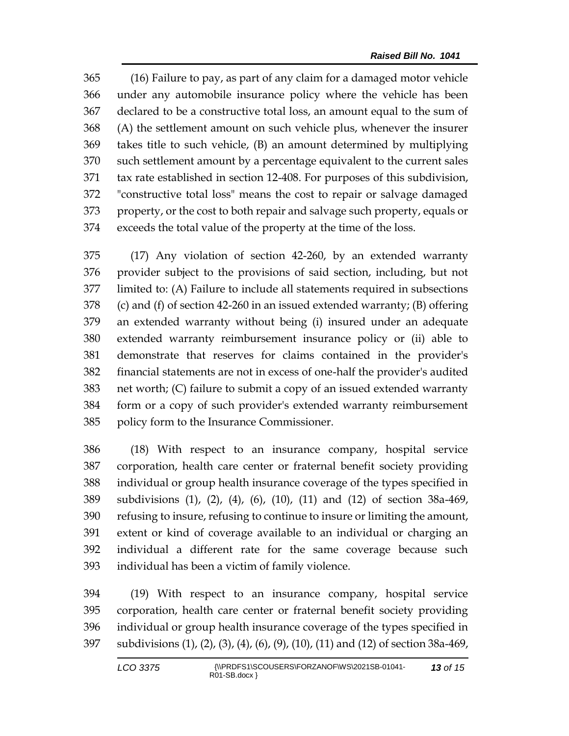(16) Failure to pay, as part of any claim for a damaged motor vehicle under any automobile insurance policy where the vehicle has been declared to be a constructive total loss, an amount equal to the sum of (A) the settlement amount on such vehicle plus, whenever the insurer takes title to such vehicle, (B) an amount determined by multiplying such settlement amount by a percentage equivalent to the current sales tax rate established in section 12-408. For purposes of this subdivision, "constructive total loss" means the cost to repair or salvage damaged property, or the cost to both repair and salvage such property, equals or exceeds the total value of the property at the time of the loss.

 (17) Any violation of section 42-260, by an extended warranty provider subject to the provisions of said section, including, but not limited to: (A) Failure to include all statements required in subsections (c) and (f) of section 42-260 in an issued extended warranty; (B) offering an extended warranty without being (i) insured under an adequate extended warranty reimbursement insurance policy or (ii) able to demonstrate that reserves for claims contained in the provider's financial statements are not in excess of one-half the provider's audited net worth; (C) failure to submit a copy of an issued extended warranty form or a copy of such provider's extended warranty reimbursement policy form to the Insurance Commissioner.

 (18) With respect to an insurance company, hospital service corporation, health care center or fraternal benefit society providing individual or group health insurance coverage of the types specified in subdivisions (1), (2), (4), (6), (10), (11) and (12) of section 38a-469, refusing to insure, refusing to continue to insure or limiting the amount, extent or kind of coverage available to an individual or charging an individual a different rate for the same coverage because such individual has been a victim of family violence.

 (19) With respect to an insurance company, hospital service corporation, health care center or fraternal benefit society providing individual or group health insurance coverage of the types specified in subdivisions (1), (2), (3), (4), (6), (9), (10), (11) and (12) of section 38a-469,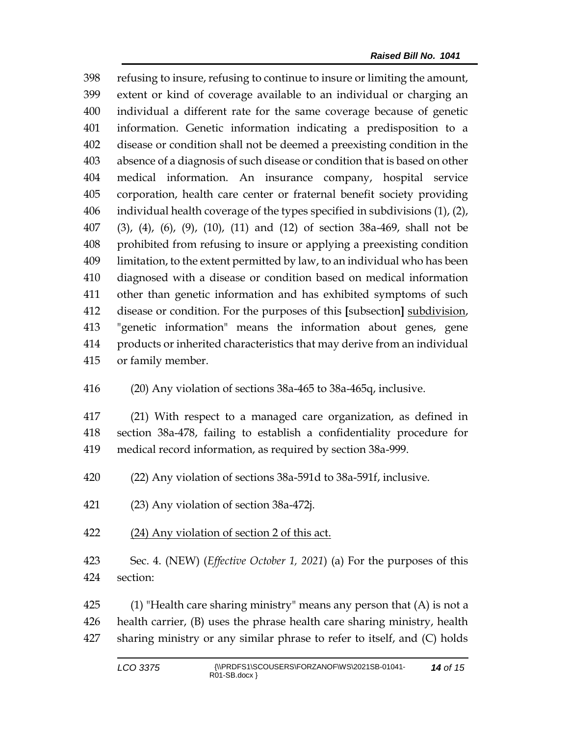refusing to insure, refusing to continue to insure or limiting the amount, extent or kind of coverage available to an individual or charging an individual a different rate for the same coverage because of genetic information. Genetic information indicating a predisposition to a disease or condition shall not be deemed a preexisting condition in the absence of a diagnosis of such disease or condition that is based on other medical information. An insurance company, hospital service corporation, health care center or fraternal benefit society providing individual health coverage of the types specified in subdivisions (1), (2), (3), (4), (6), (9), (10), (11) and (12) of section 38a-469, shall not be prohibited from refusing to insure or applying a preexisting condition limitation, to the extent permitted by law, to an individual who has been diagnosed with a disease or condition based on medical information other than genetic information and has exhibited symptoms of such disease or condition. For the purposes of this **[**subsection**]** subdivision, "genetic information" means the information about genes, gene products or inherited characteristics that may derive from an individual or family member.

(20) Any violation of sections 38a-465 to 38a-465q, inclusive.

 (21) With respect to a managed care organization, as defined in section 38a-478, failing to establish a confidentiality procedure for medical record information, as required by section 38a-999.

(22) Any violation of sections 38a-591d to 38a-591f, inclusive.

(23) Any violation of section 38a-472j.

(24) Any violation of section 2 of this act.

 Sec. 4. (NEW) (*Effective October 1, 2021*) (a) For the purposes of this section:

425  $\qquad$  (1) "Health care sharing ministry" means any person that (A) is not a health carrier, (B) uses the phrase health care sharing ministry, health sharing ministry or any similar phrase to refer to itself, and (C) holds